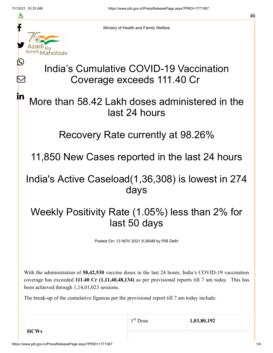≛

Ŀ

M

<u>in</u>

Ministry of Health and Family Welfare

# India's Cumulative COVID-19 Vaccination Coverage exceeds 111.40 Cr

### More than 58.42 Lakh doses administered in the last 24 hours

#### Recovery Rate currently at 98.26%

11,850 New Cases reported in the last 24 hours

### India's Active Caseload(1,36,308) is lowest in 274 days

## Weekly Positivity Rate (1.05%) less than 2% for last 50 days

Posted On: 13 NOV 2021 9:36AM by PIB Delhi

With the administration of **58,42,530** vaccine doses in the last 24 hours, India's COVID-19 vaccination coverage has exceeded **111.40 Cr (1,11,40,48,134)** as per provisional reports till 7 am today. This has been achieved through 1,14,01,023 sessions.

The break-up of the cumulative figureas per the provisional report till 7 am today include:

**HCWs**

1<sup>st</sup> Dose 1,03,80,192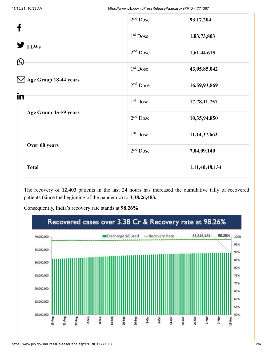| f                                | $2nd$ Dose           | 93,17,204       |
|----------------------------------|----------------------|-----------------|
|                                  | 1 <sup>st</sup> Dose | 1,83,73,803     |
| <b>FLWs</b><br>$\mathbf{\Omega}$ | $2nd$ Dose           | 1,61,44,615     |
|                                  | 1 <sup>st</sup> Dose | 43,05,85,042    |
| Age Group 18-44 years<br>in      | $2nd$ Dose           | 16,59,93,869    |
|                                  | 1 <sup>st</sup> Dose | 17,78,11,757    |
| Age Group 45-59 years            | $2nd$ Dose           | 10,35,94,850    |
|                                  | 1 <sup>st</sup> Dose | 11, 14, 37, 662 |
| Over 60 years                    | $2nd$ Dose           | 7,04,09,140     |
| <b>Total</b>                     |                      | 1,11,40,48,134  |

The recovery of **12,403** patients in the last 24 hours has increased the cumulative tally of recovered patients (since the beginning of the pandemic) to **3,38,26,483.**

Consequently, India's recovery rate stands at **98.26%**.

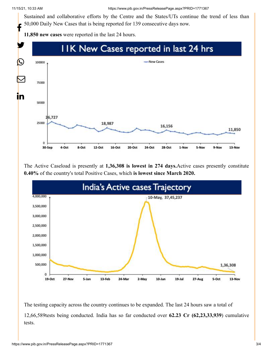Sustained and collaborative efforts by the Centre and the States/UTs continue the trend of less than 50,000 Daily New Cases that is being reported for 139 consecutive days now. f

**11,850 new cases** were reported in the last 24 hours.



The Active Caseload is presently at **1,36,308 is lowest in 274 days.**Active cases presently constitute **0.40%** of the country's total Positive Cases, which **is lowest since March 2020.**



The testing capacity across the country continues to be expanded. The last 24 hours saw a total of 12,66,589tests being conducted. India has so far conducted over **62.23 Cr (62,23,33,939**) cumulative tests.